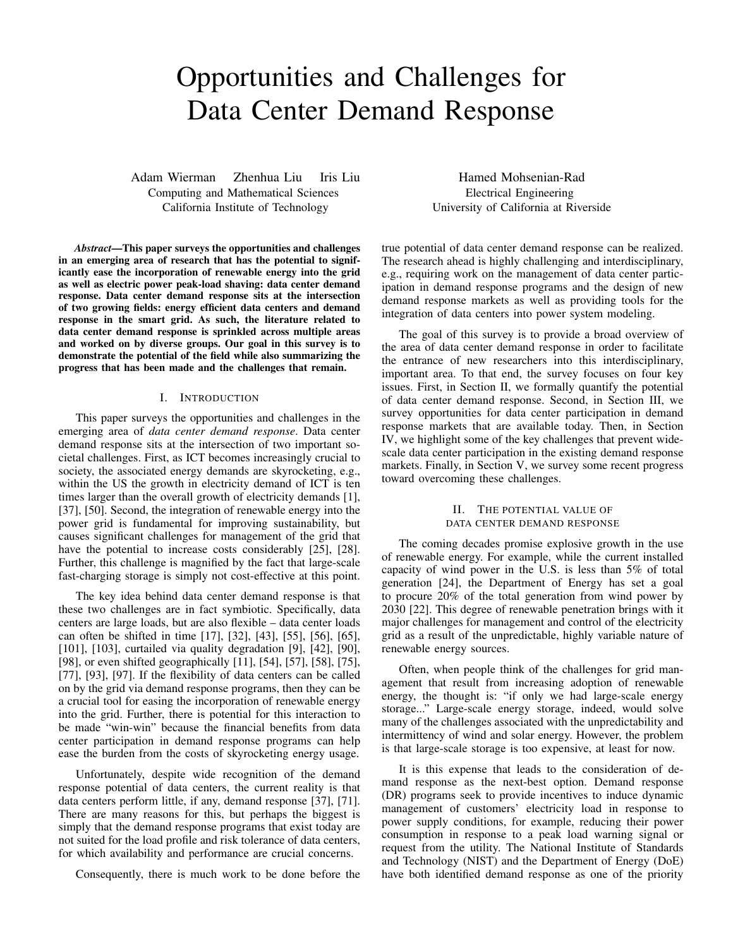# Opportunities and Challenges for Data Center Demand Response

Adam Wierman Zhenhua Liu Iris Liu Computing and Mathematical Sciences California Institute of Technology

*Abstract*—This paper surveys the opportunities and challenges in an emerging area of research that has the potential to significantly ease the incorporation of renewable energy into the grid as well as electric power peak-load shaving: data center demand response. Data center demand response sits at the intersection of two growing fields: energy efficient data centers and demand response in the smart grid. As such, the literature related to data center demand response is sprinkled across multiple areas and worked on by diverse groups. Our goal in this survey is to demonstrate the potential of the field while also summarizing the progress that has been made and the challenges that remain.

## I. INTRODUCTION

This paper surveys the opportunities and challenges in the emerging area of *data center demand response*. Data center demand response sits at the intersection of two important societal challenges. First, as ICT becomes increasingly crucial to society, the associated energy demands are skyrocketing, e.g., within the US the growth in electricity demand of ICT is ten times larger than the overall growth of electricity demands [1], [37], [50]. Second, the integration of renewable energy into the power grid is fundamental for improving sustainability, but causes significant challenges for management of the grid that have the potential to increase costs considerably [25], [28]. Further, this challenge is magnified by the fact that large-scale fast-charging storage is simply not cost-effective at this point.

The key idea behind data center demand response is that these two challenges are in fact symbiotic. Specifically, data centers are large loads, but are also flexible – data center loads can often be shifted in time [17], [32], [43], [55], [56], [65], [101], [103], curtailed via quality degradation [9], [42], [90], [98], or even shifted geographically [11], [54], [57], [58], [75], [77], [93], [97]. If the flexibility of data centers can be called on by the grid via demand response programs, then they can be a crucial tool for easing the incorporation of renewable energy into the grid. Further, there is potential for this interaction to be made "win-win" because the financial benefits from data center participation in demand response programs can help ease the burden from the costs of skyrocketing energy usage.

Unfortunately, despite wide recognition of the demand response potential of data centers, the current reality is that data centers perform little, if any, demand response [37], [71]. There are many reasons for this, but perhaps the biggest is simply that the demand response programs that exist today are not suited for the load profile and risk tolerance of data centers, for which availability and performance are crucial concerns.

Consequently, there is much work to be done before the

Hamed Mohsenian-Rad Electrical Engineering University of California at Riverside

true potential of data center demand response can be realized. The research ahead is highly challenging and interdisciplinary, e.g., requiring work on the management of data center participation in demand response programs and the design of new demand response markets as well as providing tools for the integration of data centers into power system modeling.

The goal of this survey is to provide a broad overview of the area of data center demand response in order to facilitate the entrance of new researchers into this interdisciplinary, important area. To that end, the survey focuses on four key issues. First, in Section II, we formally quantify the potential of data center demand response. Second, in Section III, we survey opportunities for data center participation in demand response markets that are available today. Then, in Section IV, we highlight some of the key challenges that prevent widescale data center participation in the existing demand response markets. Finally, in Section V, we survey some recent progress toward overcoming these challenges.

## II. THE POTENTIAL VALUE OF DATA CENTER DEMAND RESPONSE

The coming decades promise explosive growth in the use of renewable energy. For example, while the current installed capacity of wind power in the U.S. is less than 5% of total generation [24], the Department of Energy has set a goal to procure 20% of the total generation from wind power by 2030 [22]. This degree of renewable penetration brings with it major challenges for management and control of the electricity grid as a result of the unpredictable, highly variable nature of renewable energy sources.

Often, when people think of the challenges for grid management that result from increasing adoption of renewable energy, the thought is: "if only we had large-scale energy storage..." Large-scale energy storage, indeed, would solve many of the challenges associated with the unpredictability and intermittency of wind and solar energy. However, the problem is that large-scale storage is too expensive, at least for now.

It is this expense that leads to the consideration of demand response as the next-best option. Demand response (DR) programs seek to provide incentives to induce dynamic management of customers' electricity load in response to power supply conditions, for example, reducing their power consumption in response to a peak load warning signal or request from the utility. The National Institute of Standards and Technology (NIST) and the Department of Energy (DoE) have both identified demand response as one of the priority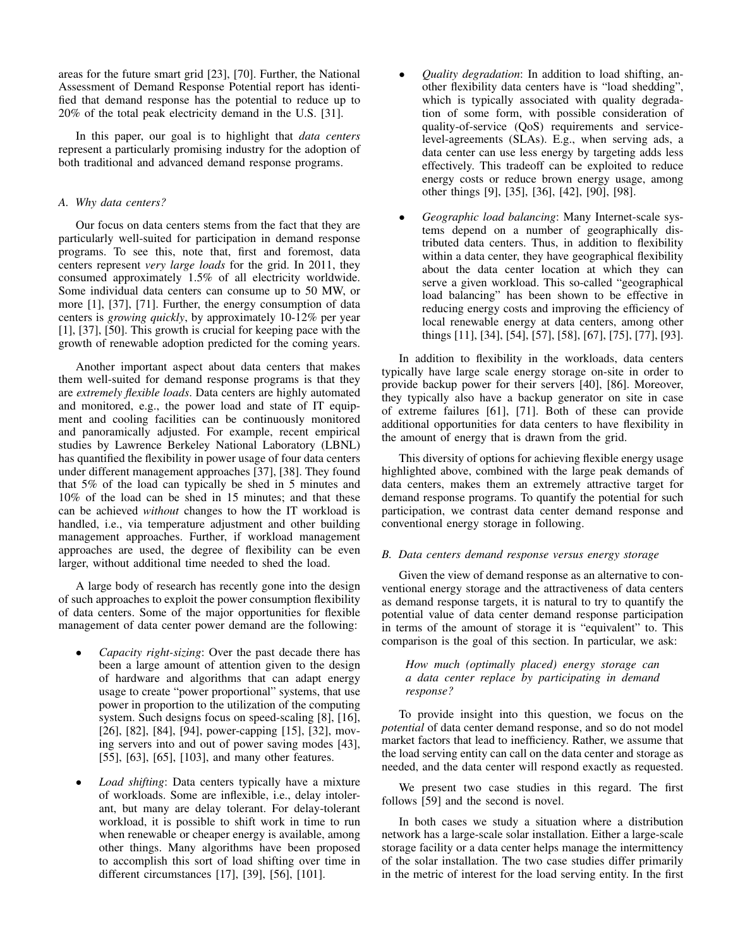areas for the future smart grid [23], [70]. Further, the National Assessment of Demand Response Potential report has identified that demand response has the potential to reduce up to 20% of the total peak electricity demand in the U.S. [31].

In this paper, our goal is to highlight that *data centers* represent a particularly promising industry for the adoption of both traditional and advanced demand response programs.

## *A. Why data centers?*

Our focus on data centers stems from the fact that they are particularly well-suited for participation in demand response programs. To see this, note that, first and foremost, data centers represent *very large loads* for the grid. In 2011, they consumed approximately 1.5% of all electricity worldwide. Some individual data centers can consume up to 50 MW, or more [1], [37], [71]. Further, the energy consumption of data centers is *growing quickly*, by approximately 10-12% per year [1], [37], [50]. This growth is crucial for keeping pace with the growth of renewable adoption predicted for the coming years.

Another important aspect about data centers that makes them well-suited for demand response programs is that they are *extremely flexible loads*. Data centers are highly automated and monitored, e.g., the power load and state of IT equipment and cooling facilities can be continuously monitored and panoramically adjusted. For example, recent empirical studies by Lawrence Berkeley National Laboratory (LBNL) has quantified the flexibility in power usage of four data centers under different management approaches [37], [38]. They found that 5% of the load can typically be shed in 5 minutes and 10% of the load can be shed in 15 minutes; and that these can be achieved *without* changes to how the IT workload is handled, i.e., via temperature adjustment and other building management approaches. Further, if workload management approaches are used, the degree of flexibility can be even larger, without additional time needed to shed the load.

A large body of research has recently gone into the design of such approaches to exploit the power consumption flexibility of data centers. Some of the major opportunities for flexible management of data center power demand are the following:

- *Capacity right-sizing*: Over the past decade there has been a large amount of attention given to the design of hardware and algorithms that can adapt energy usage to create "power proportional" systems, that use power in proportion to the utilization of the computing system. Such designs focus on speed-scaling [8], [16], [26], [82], [84], [94], power-capping [15], [32], moving servers into and out of power saving modes [43], [55], [63], [65], [103], and many other features.
- *Load shifting*: Data centers typically have a mixture of workloads. Some are inflexible, i.e., delay intolerant, but many are delay tolerant. For delay-tolerant workload, it is possible to shift work in time to run when renewable or cheaper energy is available, among other things. Many algorithms have been proposed to accomplish this sort of load shifting over time in different circumstances [17], [39], [56], [101].
- *Quality degradation*: In addition to load shifting, another flexibility data centers have is "load shedding", which is typically associated with quality degradation of some form, with possible consideration of quality-of-service (QoS) requirements and servicelevel-agreements (SLAs). E.g., when serving ads, a data center can use less energy by targeting adds less effectively. This tradeoff can be exploited to reduce energy costs or reduce brown energy usage, among other things [9], [35], [36], [42], [90], [98].
- *Geographic load balancing*: Many Internet-scale systems depend on a number of geographically distributed data centers. Thus, in addition to flexibility within a data center, they have geographical flexibility about the data center location at which they can serve a given workload. This so-called "geographical load balancing" has been shown to be effective in reducing energy costs and improving the efficiency of local renewable energy at data centers, among other things [11], [34], [54], [57], [58], [67], [75], [77], [93].

In addition to flexibility in the workloads, data centers typically have large scale energy storage on-site in order to provide backup power for their servers [40], [86]. Moreover, they typically also have a backup generator on site in case of extreme failures [61], [71]. Both of these can provide additional opportunities for data centers to have flexibility in the amount of energy that is drawn from the grid.

This diversity of options for achieving flexible energy usage highlighted above, combined with the large peak demands of data centers, makes them an extremely attractive target for demand response programs. To quantify the potential for such participation, we contrast data center demand response and conventional energy storage in following.

## *B. Data centers demand response versus energy storage*

Given the view of demand response as an alternative to conventional energy storage and the attractiveness of data centers as demand response targets, it is natural to try to quantify the potential value of data center demand response participation in terms of the amount of storage it is "equivalent" to. This comparison is the goal of this section. In particular, we ask:

## *How much (optimally placed) energy storage can a data center replace by participating in demand response?*

To provide insight into this question, we focus on the *potential* of data center demand response, and so do not model market factors that lead to inefficiency. Rather, we assume that the load serving entity can call on the data center and storage as needed, and the data center will respond exactly as requested.

We present two case studies in this regard. The first follows [59] and the second is novel.

In both cases we study a situation where a distribution network has a large-scale solar installation. Either a large-scale storage facility or a data center helps manage the intermittency of the solar installation. The two case studies differ primarily in the metric of interest for the load serving entity. In the first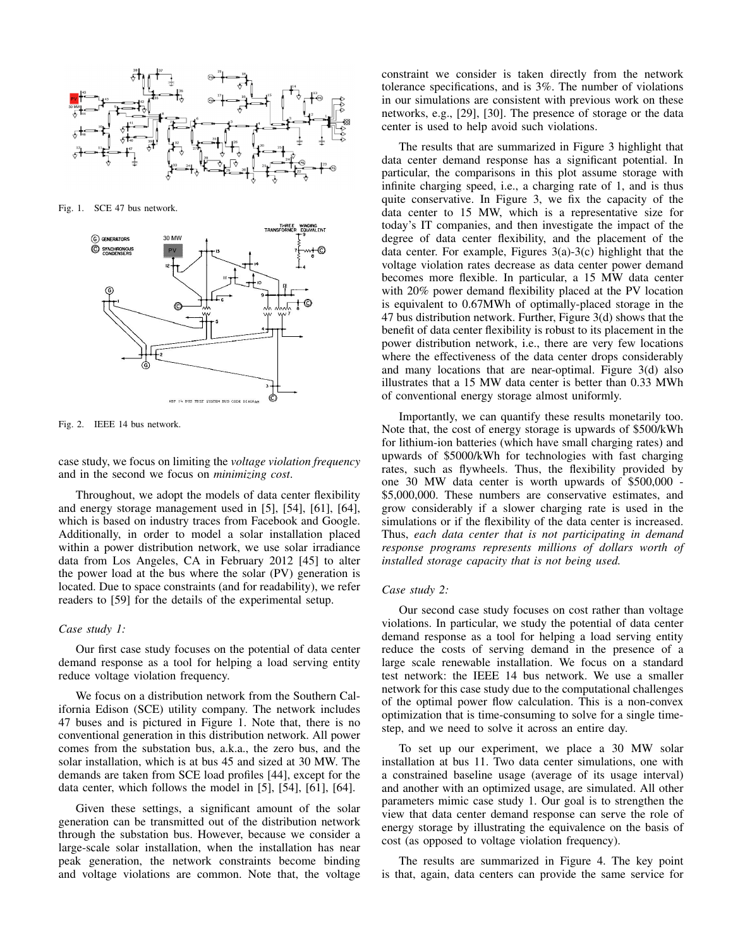

Fig. 1. SCE 47 bus network.



Fig. 2. IEEE 14 bus network.

case study, we focus on limiting the *voltage violation frequency* and in the second we focus on *minimizing cost*.

Throughout, we adopt the models of data center flexibility and energy storage management used in [5], [54], [61], [64], which is based on industry traces from Facebook and Google. Additionally, in order to model a solar installation placed within a power distribution network, we use solar irradiance data from Los Angeles, CA in February 2012 [45] to alter the power load at the bus where the solar (PV) generation is located. Due to space constraints (and for readability), we refer readers to [59] for the details of the experimental setup.

#### *Case study 1:*

Our first case study focuses on the potential of data center demand response as a tool for helping a load serving entity reduce voltage violation frequency.

We focus on a distribution network from the Southern California Edison (SCE) utility company. The network includes 47 buses and is pictured in Figure 1. Note that, there is no conventional generation in this distribution network. All power comes from the substation bus, a.k.a., the zero bus, and the solar installation, which is at bus 45 and sized at 30 MW. The demands are taken from SCE load profiles [44], except for the data center, which follows the model in [5], [54], [61], [64].

Given these settings, a significant amount of the solar generation can be transmitted out of the distribution network through the substation bus. However, because we consider a large-scale solar installation, when the installation has near peak generation, the network constraints become binding and voltage violations are common. Note that, the voltage constraint we consider is taken directly from the network tolerance specifications, and is 3%. The number of violations in our simulations are consistent with previous work on these networks, e.g., [29], [30]. The presence of storage or the data center is used to help avoid such violations.

The results that are summarized in Figure 3 highlight that data center demand response has a significant potential. In particular, the comparisons in this plot assume storage with infinite charging speed, i.e., a charging rate of 1, and is thus quite conservative. In Figure 3, we fix the capacity of the data center to 15 MW, which is a representative size for today's IT companies, and then investigate the impact of the degree of data center flexibility, and the placement of the data center. For example, Figures 3(a)-3(c) highlight that the voltage violation rates decrease as data center power demand becomes more flexible. In particular, a 15 MW data center with 20% power demand flexibility placed at the PV location is equivalent to 0.67MWh of optimally-placed storage in the 47 bus distribution network. Further, Figure 3(d) shows that the benefit of data center flexibility is robust to its placement in the power distribution network, i.e., there are very few locations where the effectiveness of the data center drops considerably and many locations that are near-optimal. Figure 3(d) also illustrates that a 15 MW data center is better than 0.33 MWh of conventional energy storage almost uniformly.

Importantly, we can quantify these results monetarily too. Note that, the cost of energy storage is upwards of \$500/kWh for lithium-ion batteries (which have small charging rates) and upwards of \$5000/kWh for technologies with fast charging rates, such as flywheels. Thus, the flexibility provided by one 30 MW data center is worth upwards of \$500,000 - \$5,000,000. These numbers are conservative estimates, and grow considerably if a slower charging rate is used in the simulations or if the flexibility of the data center is increased. Thus, *each data center that is not participating in demand response programs represents millions of dollars worth of installed storage capacity that is not being used.*

#### *Case study 2:*

Our second case study focuses on cost rather than voltage violations. In particular, we study the potential of data center demand response as a tool for helping a load serving entity reduce the costs of serving demand in the presence of a large scale renewable installation. We focus on a standard test network: the IEEE 14 bus network. We use a smaller network for this case study due to the computational challenges of the optimal power flow calculation. This is a non-convex optimization that is time-consuming to solve for a single timestep, and we need to solve it across an entire day.

To set up our experiment, we place a 30 MW solar installation at bus 11. Two data center simulations, one with a constrained baseline usage (average of its usage interval) and another with an optimized usage, are simulated. All other parameters mimic case study 1. Our goal is to strengthen the view that data center demand response can serve the role of energy storage by illustrating the equivalence on the basis of cost (as opposed to voltage violation frequency).

The results are summarized in Figure 4. The key point is that, again, data centers can provide the same service for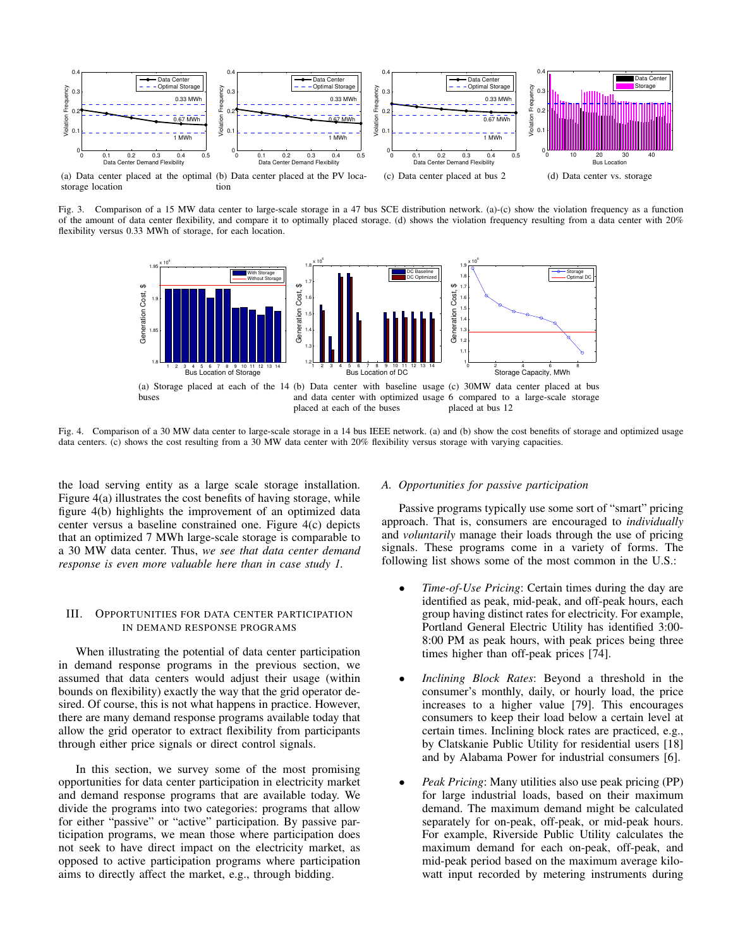

Fig. 3. Comparison of a 15 MW data center to large-scale storage in a 47 bus SCE distribution network. (a)-(c) show the violation frequency as a function of the amount of data center flexibility, and compare it to optimally placed storage. (d) shows the violation frequency resulting from a data center with 20% flexibility versus 0.33 MWh of storage, for each location.



Fig. 4. Comparison of a 30 MW data center to large-scale storage in a 14 bus IEEE network. (a) and (b) show the cost benefits of storage and optimized usage data centers. (c) shows the cost resulting from a 30 MW data center with 20% flexibility versus storage with varying capacities.

the load serving entity as a large scale storage installation. Figure 4(a) illustrates the cost benefits of having storage, while figure 4(b) highlights the improvement of an optimized data center versus a baseline constrained one. Figure 4(c) depicts that an optimized 7 MWh large-scale storage is comparable to a 30 MW data center. Thus, *we see that data center demand response is even more valuable here than in case study 1.*

## III. OPPORTUNITIES FOR DATA CENTER PARTICIPATION IN DEMAND RESPONSE PROGRAMS

When illustrating the potential of data center participation in demand response programs in the previous section, we assumed that data centers would adjust their usage (within bounds on flexibility) exactly the way that the grid operator desired. Of course, this is not what happens in practice. However, there are many demand response programs available today that allow the grid operator to extract flexibility from participants through either price signals or direct control signals.

In this section, we survey some of the most promising opportunities for data center participation in electricity market and demand response programs that are available today. We divide the programs into two categories: programs that allow for either "passive" or "active" participation. By passive participation programs, we mean those where participation does not seek to have direct impact on the electricity market, as opposed to active participation programs where participation aims to directly affect the market, e.g., through bidding.

## *A. Opportunities for passive participation*

Passive programs typically use some sort of "smart" pricing approach. That is, consumers are encouraged to *individually* and *voluntarily* manage their loads through the use of pricing signals. These programs come in a variety of forms. The following list shows some of the most common in the U.S.:

- *Time-of-Use Pricing*: Certain times during the day are identified as peak, mid-peak, and off-peak hours, each group having distinct rates for electricity. For example, Portland General Electric Utility has identified 3:00- 8:00 PM as peak hours, with peak prices being three times higher than off-peak prices [74].
- *Inclining Block Rates*: Beyond a threshold in the consumer's monthly, daily, or hourly load, the price increases to a higher value [79]. This encourages consumers to keep their load below a certain level at certain times. Inclining block rates are practiced, e.g., by Clatskanie Public Utility for residential users [18] and by Alabama Power for industrial consumers [6].
- *Peak Pricing*: Many utilities also use peak pricing (PP) for large industrial loads, based on their maximum demand. The maximum demand might be calculated separately for on-peak, off-peak, or mid-peak hours. For example, Riverside Public Utility calculates the maximum demand for each on-peak, off-peak, and mid-peak period based on the maximum average kilowatt input recorded by metering instruments during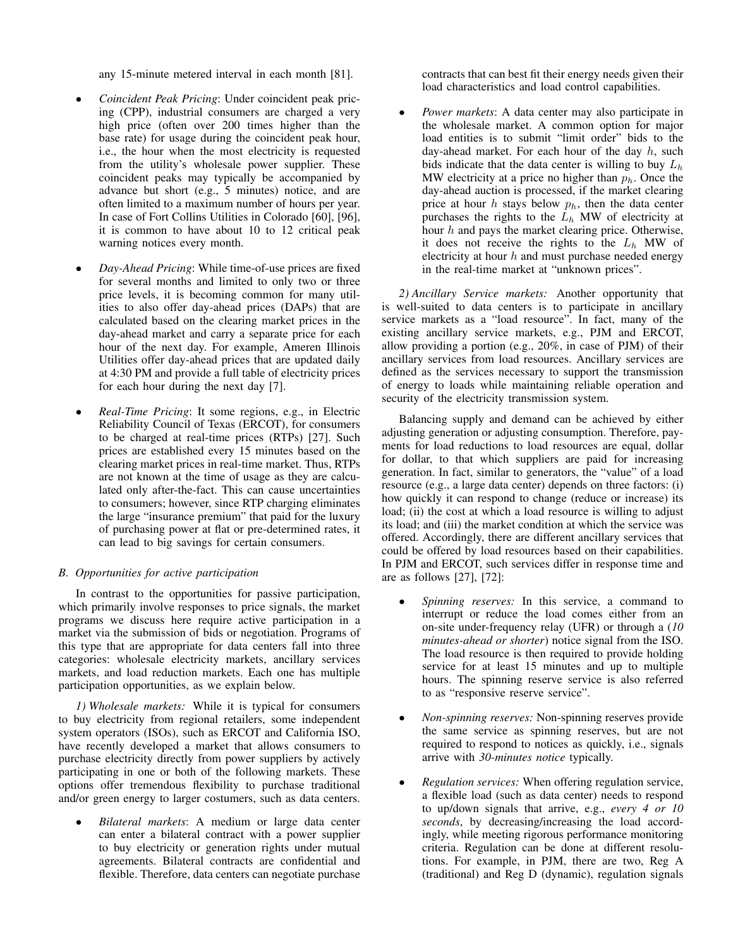any 15-minute metered interval in each month [81].

- *Coincident Peak Pricing*: Under coincident peak pricing (CPP), industrial consumers are charged a very high price (often over 200 times higher than the base rate) for usage during the coincident peak hour, i.e., the hour when the most electricity is requested from the utility's wholesale power supplier. These coincident peaks may typically be accompanied by advance but short (e.g., 5 minutes) notice, and are often limited to a maximum number of hours per year. In case of Fort Collins Utilities in Colorado [60], [96], it is common to have about 10 to 12 critical peak warning notices every month.
- *Day-Ahead Pricing*: While time-of-use prices are fixed for several months and limited to only two or three price levels, it is becoming common for many utilities to also offer day-ahead prices (DAPs) that are calculated based on the clearing market prices in the day-ahead market and carry a separate price for each hour of the next day. For example, Ameren Illinois Utilities offer day-ahead prices that are updated daily at 4:30 PM and provide a full table of electricity prices for each hour during the next day [7].
- *Real-Time Pricing*: It some regions, e.g., in Electric Reliability Council of Texas (ERCOT), for consumers to be charged at real-time prices (RTPs) [27]. Such prices are established every 15 minutes based on the clearing market prices in real-time market. Thus, RTPs are not known at the time of usage as they are calculated only after-the-fact. This can cause uncertainties to consumers; however, since RTP charging eliminates the large "insurance premium" that paid for the luxury of purchasing power at flat or pre-determined rates, it can lead to big savings for certain consumers.

## *B. Opportunities for active participation*

In contrast to the opportunities for passive participation, which primarily involve responses to price signals, the market programs we discuss here require active participation in a market via the submission of bids or negotiation. Programs of this type that are appropriate for data centers fall into three categories: wholesale electricity markets, ancillary services markets, and load reduction markets. Each one has multiple participation opportunities, as we explain below.

*1) Wholesale markets:* While it is typical for consumers to buy electricity from regional retailers, some independent system operators (ISOs), such as ERCOT and California ISO, have recently developed a market that allows consumers to purchase electricity directly from power suppliers by actively participating in one or both of the following markets. These options offer tremendous flexibility to purchase traditional and/or green energy to larger costumers, such as data centers.

• *Bilateral markets*: A medium or large data center can enter a bilateral contract with a power supplier to buy electricity or generation rights under mutual agreements. Bilateral contracts are confidential and flexible. Therefore, data centers can negotiate purchase contracts that can best fit their energy needs given their load characteristics and load control capabilities.

• *Power markets*: A data center may also participate in the wholesale market. A common option for major load entities is to submit "limit order" bids to the day-ahead market. For each hour of the day  $h$ , such bids indicate that the data center is willing to buy  $L<sub>h</sub>$ MW electricity at a price no higher than  $p_h$ . Once the day-ahead auction is processed, if the market clearing price at hour h stays below  $p_h$ , then the data center purchases the rights to the  $L_h$  MW of electricity at hour  $h$  and pays the market clearing price. Otherwise, it does not receive the rights to the  $L_h$  MW of electricity at hour  $h$  and must purchase needed energy in the real-time market at "unknown prices".

*2) Ancillary Service markets:* Another opportunity that is well-suited to data centers is to participate in ancillary service markets as a "load resource". In fact, many of the existing ancillary service markets, e.g., PJM and ERCOT, allow providing a portion (e.g., 20%, in case of PJM) of their ancillary services from load resources. Ancillary services are defined as the services necessary to support the transmission of energy to loads while maintaining reliable operation and security of the electricity transmission system.

Balancing supply and demand can be achieved by either adjusting generation or adjusting consumption. Therefore, payments for load reductions to load resources are equal, dollar for dollar, to that which suppliers are paid for increasing generation. In fact, similar to generators, the "value" of a load resource (e.g., a large data center) depends on three factors: (i) how quickly it can respond to change (reduce or increase) its load; (ii) the cost at which a load resource is willing to adjust its load; and (iii) the market condition at which the service was offered. Accordingly, there are different ancillary services that could be offered by load resources based on their capabilities. In PJM and ERCOT, such services differ in response time and are as follows [27], [72]:

- *Spinning reserves:* In this service, a command to interrupt or reduce the load comes either from an on-site under-frequency relay (UFR) or through a (*10 minutes-ahead or shorter*) notice signal from the ISO. The load resource is then required to provide holding service for at least 15 minutes and up to multiple hours. The spinning reserve service is also referred to as "responsive reserve service".
- *Non-spinning reserves:* Non-spinning reserves provide the same service as spinning reserves, but are not required to respond to notices as quickly, i.e., signals arrive with *30-minutes notice* typically.
- *Regulation services:* When offering regulation service, a flexible load (such as data center) needs to respond to up/down signals that arrive, e.g., *every 4 or 10 seconds*, by decreasing/increasing the load accordingly, while meeting rigorous performance monitoring criteria. Regulation can be done at different resolutions. For example, in PJM, there are two, Reg A (traditional) and Reg D (dynamic), regulation signals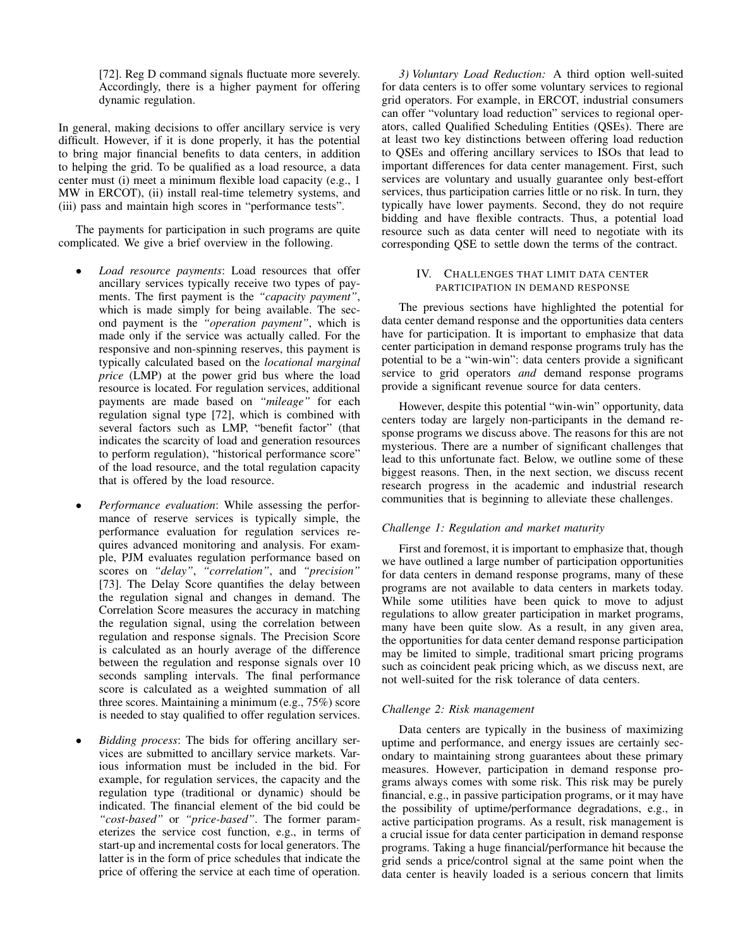[72]. Reg D command signals fluctuate more severely. Accordingly, there is a higher payment for offering dynamic regulation.

In general, making decisions to offer ancillary service is very difficult. However, if it is done properly, it has the potential to bring major financial benefits to data centers, in addition to helping the grid. To be qualified as a load resource, a data center must (i) meet a minimum flexible load capacity (e.g., 1 MW in ERCOT), (ii) install real-time telemetry systems, and (iii) pass and maintain high scores in "performance tests".

The payments for participation in such programs are quite complicated. We give a brief overview in the following.

- *Load resource payments*: Load resources that offer ancillary services typically receive two types of payments. The first payment is the *"capacity payment"*, which is made simply for being available. The second payment is the *"operation payment"*, which is made only if the service was actually called. For the responsive and non-spinning reserves, this payment is typically calculated based on the *locational marginal price* (LMP) at the power grid bus where the load resource is located. For regulation services, additional payments are made based on *"mileage"* for each regulation signal type [72], which is combined with several factors such as LMP, "benefit factor" (that indicates the scarcity of load and generation resources to perform regulation), "historical performance score" of the load resource, and the total regulation capacity that is offered by the load resource.
- *Performance evaluation*: While assessing the performance of reserve services is typically simple, the performance evaluation for regulation services requires advanced monitoring and analysis. For example, PJM evaluates regulation performance based on scores on *"delay"*, *"correlation"*, and *"precision"* [73]. The Delay Score quantifies the delay between the regulation signal and changes in demand. The Correlation Score measures the accuracy in matching the regulation signal, using the correlation between regulation and response signals. The Precision Score is calculated as an hourly average of the difference between the regulation and response signals over 10 seconds sampling intervals. The final performance score is calculated as a weighted summation of all three scores. Maintaining a minimum (e.g., 75%) score is needed to stay qualified to offer regulation services.
- *Bidding process*: The bids for offering ancillary services are submitted to ancillary service markets. Various information must be included in the bid. For example, for regulation services, the capacity and the regulation type (traditional or dynamic) should be indicated. The financial element of the bid could be *"cost-based"* or *"price-based"*. The former parameterizes the service cost function, e.g., in terms of start-up and incremental costs for local generators. The latter is in the form of price schedules that indicate the price of offering the service at each time of operation.

*3) Voluntary Load Reduction:* A third option well-suited for data centers is to offer some voluntary services to regional grid operators. For example, in ERCOT, industrial consumers can offer "voluntary load reduction" services to regional operators, called Qualified Scheduling Entities (QSEs). There are at least two key distinctions between offering load reduction to QSEs and offering ancillary services to ISOs that lead to important differences for data center management. First, such services are voluntary and usually guarantee only best-effort services, thus participation carries little or no risk. In turn, they typically have lower payments. Second, they do not require bidding and have flexible contracts. Thus, a potential load resource such as data center will need to negotiate with its corresponding QSE to settle down the terms of the contract.

## IV. CHALLENGES THAT LIMIT DATA CENTER PARTICIPATION IN DEMAND RESPONSE

The previous sections have highlighted the potential for data center demand response and the opportunities data centers have for participation. It is important to emphasize that data center participation in demand response programs truly has the potential to be a "win-win": data centers provide a significant service to grid operators *and* demand response programs provide a significant revenue source for data centers.

However, despite this potential "win-win" opportunity, data centers today are largely non-participants in the demand response programs we discuss above. The reasons for this are not mysterious. There are a number of significant challenges that lead to this unfortunate fact. Below, we outline some of these biggest reasons. Then, in the next section, we discuss recent research progress in the academic and industrial research communities that is beginning to alleviate these challenges.

## *Challenge 1: Regulation and market maturity*

First and foremost, it is important to emphasize that, though we have outlined a large number of participation opportunities for data centers in demand response programs, many of these programs are not available to data centers in markets today. While some utilities have been quick to move to adjust regulations to allow greater participation in market programs, many have been quite slow. As a result, in any given area, the opportunities for data center demand response participation may be limited to simple, traditional smart pricing programs such as coincident peak pricing which, as we discuss next, are not well-suited for the risk tolerance of data centers.

## *Challenge 2: Risk management*

Data centers are typically in the business of maximizing uptime and performance, and energy issues are certainly secondary to maintaining strong guarantees about these primary measures. However, participation in demand response programs always comes with some risk. This risk may be purely financial, e.g., in passive participation programs, or it may have the possibility of uptime/performance degradations, e.g., in active participation programs. As a result, risk management is a crucial issue for data center participation in demand response programs. Taking a huge financial/performance hit because the grid sends a price/control signal at the same point when the data center is heavily loaded is a serious concern that limits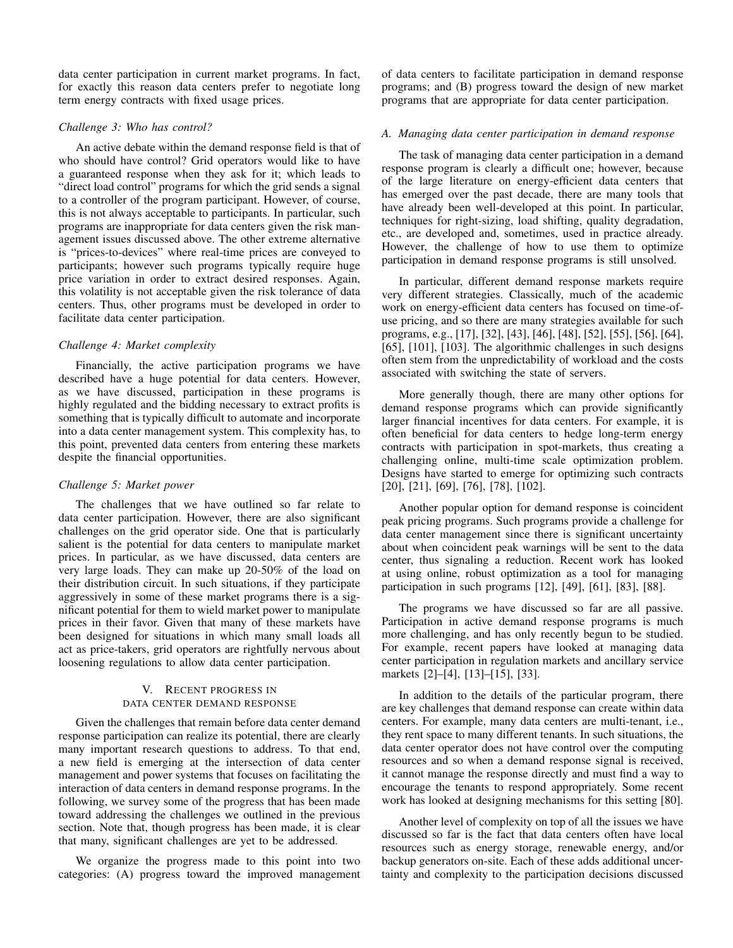data center participation in current market programs. In fact, for exactly this reason data centers prefer to negotiate long term energy contracts with fixed usage prices.

## *Challenge 3: Who has control?*

An active debate within the demand response field is that of who should have control? Grid operators would like to have a guaranteed response when they ask for it; which leads to "direct load control" programs for which the grid sends a signal to a controller of the program participant. However, of course, this is not always acceptable to participants. In particular, such programs are inappropriate for data centers given the risk management issues discussed above. The other extreme alternative is "prices-to-devices" where real-time prices are conveyed to participants; however such programs typically require huge price variation in order to extract desired responses. Again, this volatility is not acceptable given the risk tolerance of data centers. Thus, other programs must be developed in order to facilitate data center participation.

## *Challenge 4: Market complexity*

Financially, the active participation programs we have described have a huge potential for data centers. However, as we have discussed, participation in these programs is highly regulated and the bidding necessary to extract profits is something that is typically difficult to automate and incorporate into a data center management system. This complexity has, to this point, prevented data centers from entering these markets despite the financial opportunities.

## *Challenge 5: Market power*

The challenges that we have outlined so far relate to data center participation. However, there are also significant challenges on the grid operator side. One that is particularly salient is the potential for data centers to manipulate market prices. In particular, as we have discussed, data centers are very large loads. They can make up 20-50% of the load on their distribution circuit. In such situations, if they participate aggressively in some of these market programs there is a significant potential for them to wield market power to manipulate prices in their favor. Given that many of these markets have been designed for situations in which many small loads all act as price-takers, grid operators are rightfully nervous about loosening regulations to allow data center participation.

# V. RECENT PROGRESS IN DATA CENTER DEMAND RESPONSE

Given the challenges that remain before data center demand response participation can realize its potential, there are clearly many important research questions to address. To that end, a new field is emerging at the intersection of data center management and power systems that focuses on facilitating the interaction of data centers in demand response programs. In the following, we survey some of the progress that has been made toward addressing the challenges we outlined in the previous section. Note that, though progress has been made, it is clear that many, significant challenges are yet to be addressed.

We organize the progress made to this point into two categories: (A) progress toward the improved management of data centers to facilitate participation in demand response programs; and (B) progress toward the design of new market programs that are appropriate for data center participation.

## *A. Managing data center participation in demand response*

The task of managing data center participation in a demand response program is clearly a difficult one; however, because of the large literature on energy-efficient data centers that has emerged over the past decade, there are many tools that have already been well-developed at this point. In particular, techniques for right-sizing, load shifting, quality degradation, etc., are developed and, sometimes, used in practice already. However, the challenge of how to use them to optimize participation in demand response programs is still unsolved.

In particular, different demand response markets require very different strategies. Classically, much of the academic work on energy-efficient data centers has focused on time-ofuse pricing, and so there are many strategies available for such programs, e.g., [17], [32], [43], [46], [48], [52], [55], [56], [64], [65], [101], [103]. The algorithmic challenges in such designs often stem from the unpredictability of workload and the costs associated with switching the state of servers.

More generally though, there are many other options for demand response programs which can provide significantly larger financial incentives for data centers. For example, it is often beneficial for data centers to hedge long-term energy contracts with participation in spot-markets, thus creating a challenging online, multi-time scale optimization problem. Designs have started to emerge for optimizing such contracts [20], [21], [69], [76], [78], [102].

Another popular option for demand response is coincident peak pricing programs. Such programs provide a challenge for data center management since there is significant uncertainty about when coincident peak warnings will be sent to the data center, thus signaling a reduction. Recent work has looked at using online, robust optimization as a tool for managing participation in such programs [12], [49], [61], [83], [88].

The programs we have discussed so far are all passive. Participation in active demand response programs is much more challenging, and has only recently begun to be studied. For example, recent papers have looked at managing data center participation in regulation markets and ancillary service markets [2]–[4], [13]–[15], [33].

In addition to the details of the particular program, there are key challenges that demand response can create within data centers. For example, many data centers are multi-tenant, i.e., they rent space to many different tenants. In such situations, the data center operator does not have control over the computing resources and so when a demand response signal is received, it cannot manage the response directly and must find a way to encourage the tenants to respond appropriately. Some recent work has looked at designing mechanisms for this setting [80].

Another level of complexity on top of all the issues we have discussed so far is the fact that data centers often have local resources such as energy storage, renewable energy, and/or backup generators on-site. Each of these adds additional uncertainty and complexity to the participation decisions discussed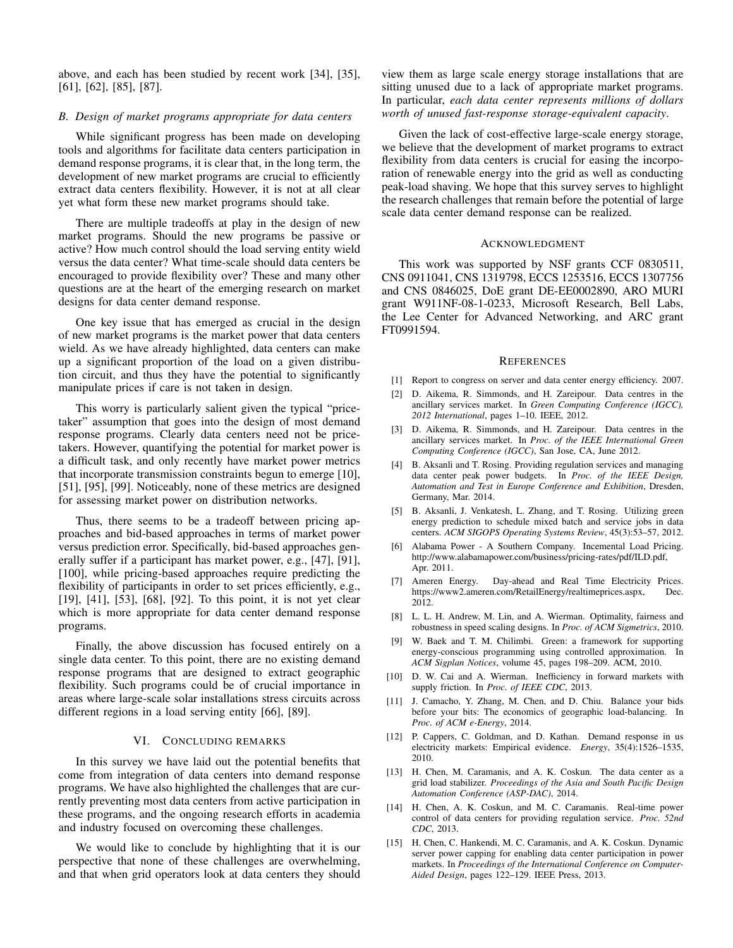above, and each has been studied by recent work [34], [35], [61], [62], [85], [87].

### *B. Design of market programs appropriate for data centers*

While significant progress has been made on developing tools and algorithms for facilitate data centers participation in demand response programs, it is clear that, in the long term, the development of new market programs are crucial to efficiently extract data centers flexibility. However, it is not at all clear yet what form these new market programs should take.

There are multiple tradeoffs at play in the design of new market programs. Should the new programs be passive or active? How much control should the load serving entity wield versus the data center? What time-scale should data centers be encouraged to provide flexibility over? These and many other questions are at the heart of the emerging research on market designs for data center demand response.

One key issue that has emerged as crucial in the design of new market programs is the market power that data centers wield. As we have already highlighted, data centers can make up a significant proportion of the load on a given distribution circuit, and thus they have the potential to significantly manipulate prices if care is not taken in design.

This worry is particularly salient given the typical "pricetaker" assumption that goes into the design of most demand response programs. Clearly data centers need not be pricetakers. However, quantifying the potential for market power is a difficult task, and only recently have market power metrics that incorporate transmission constraints begun to emerge [10], [51], [95], [99]. Noticeably, none of these metrics are designed for assessing market power on distribution networks.

Thus, there seems to be a tradeoff between pricing approaches and bid-based approaches in terms of market power versus prediction error. Specifically, bid-based approaches generally suffer if a participant has market power, e.g., [47], [91], [100], while pricing-based approaches require predicting the flexibility of participants in order to set prices efficiently, e.g., [19], [41], [53], [68], [92]. To this point, it is not yet clear which is more appropriate for data center demand response programs.

Finally, the above discussion has focused entirely on a single data center. To this point, there are no existing demand response programs that are designed to extract geographic flexibility. Such programs could be of crucial importance in areas where large-scale solar installations stress circuits across different regions in a load serving entity [66], [89].

#### VI. CONCLUDING REMARKS

In this survey we have laid out the potential benefits that come from integration of data centers into demand response programs. We have also highlighted the challenges that are currently preventing most data centers from active participation in these programs, and the ongoing research efforts in academia and industry focused on overcoming these challenges.

We would like to conclude by highlighting that it is our perspective that none of these challenges are overwhelming, and that when grid operators look at data centers they should view them as large scale energy storage installations that are sitting unused due to a lack of appropriate market programs. In particular, *each data center represents millions of dollars worth of unused fast-response storage-equivalent capacity*.

Given the lack of cost-effective large-scale energy storage, we believe that the development of market programs to extract flexibility from data centers is crucial for easing the incorporation of renewable energy into the grid as well as conducting peak-load shaving. We hope that this survey serves to highlight the research challenges that remain before the potential of large scale data center demand response can be realized.

#### ACKNOWLEDGMENT

This work was supported by NSF grants CCF 0830511, CNS 0911041, CNS 1319798, ECCS 1253516, ECCS 1307756 and CNS 0846025, DoE grant DE-EE0002890, ARO MURI grant W911NF-08-1-0233, Microsoft Research, Bell Labs, the Lee Center for Advanced Networking, and ARC grant FT0991594.

#### **REFERENCES**

- [1] Report to congress on server and data center energy efficiency. 2007.
- [2] D. Aikema, R. Simmonds, and H. Zareipour. Data centres in the ancillary services market. In *Green Computing Conference (IGCC), 2012 International*, pages 1–10. IEEE, 2012.
- [3] D. Aikema, R. Simmonds, and H. Zareipour. Data centres in the ancillary services market. In *Proc. of the IEEE International Green Computing Conference (IGCC)*, San Jose, CA, June 2012.
- [4] B. Aksanli and T. Rosing. Providing regulation services and managing data center peak power budgets. In *Proc. of the IEEE Design, Automation and Test in Europe Conference and Exhibition*, Dresden, Germany, Mar. 2014.
- [5] B. Aksanli, J. Venkatesh, L. Zhang, and T. Rosing. Utilizing green energy prediction to schedule mixed batch and service jobs in data centers. *ACM SIGOPS Operating Systems Review*, 45(3):53–57, 2012.
- [6] Alabama Power A Southern Company. Incemental Load Pricing. http://www.alabamapower.com/business/pricing-rates/pdf/ILD.pdf, Apr. 2011.
- [7] Ameren Energy. Day-ahead and Real Time Electricity Prices. https://www2.ameren.com/RetailEnergy/realtimeprices.aspx, Dec. 2012.
- [8] L. L. H. Andrew, M. Lin, and A. Wierman. Optimality, fairness and robustness in speed scaling designs. In *Proc. of ACM Sigmetrics*, 2010.
- [9] W. Baek and T. M. Chilimbi. Green: a framework for supporting energy-conscious programming using controlled approximation. In *ACM Sigplan Notices*, volume 45, pages 198–209. ACM, 2010.
- [10] D. W. Cai and A. Wierman. Inefficiency in forward markets with supply friction. In *Proc. of IEEE CDC*, 2013.
- [11] J. Camacho, Y. Zhang, M. Chen, and D. Chiu. Balance your bids before your bits: The economics of geographic load-balancing. In *Proc. of ACM e-Energy*, 2014.
- [12] P. Cappers, C. Goldman, and D. Kathan. Demand response in us electricity markets: Empirical evidence. *Energy*, 35(4):1526–1535, 2010.
- [13] H. Chen, M. Caramanis, and A. K. Coskun. The data center as a grid load stabilizer. *Proceedings of the Asia and South Pacific Design Automation Conference (ASP-DAC)*, 2014.
- [14] H. Chen, A. K. Coskun, and M. C. Caramanis. Real-time power control of data centers for providing regulation service. *Proc. 52nd CDC*, 2013.
- [15] H. Chen, C. Hankendi, M. C. Caramanis, and A. K. Coskun. Dynamic server power capping for enabling data center participation in power markets. In *Proceedings of the International Conference on Computer-Aided Design*, pages 122–129. IEEE Press, 2013.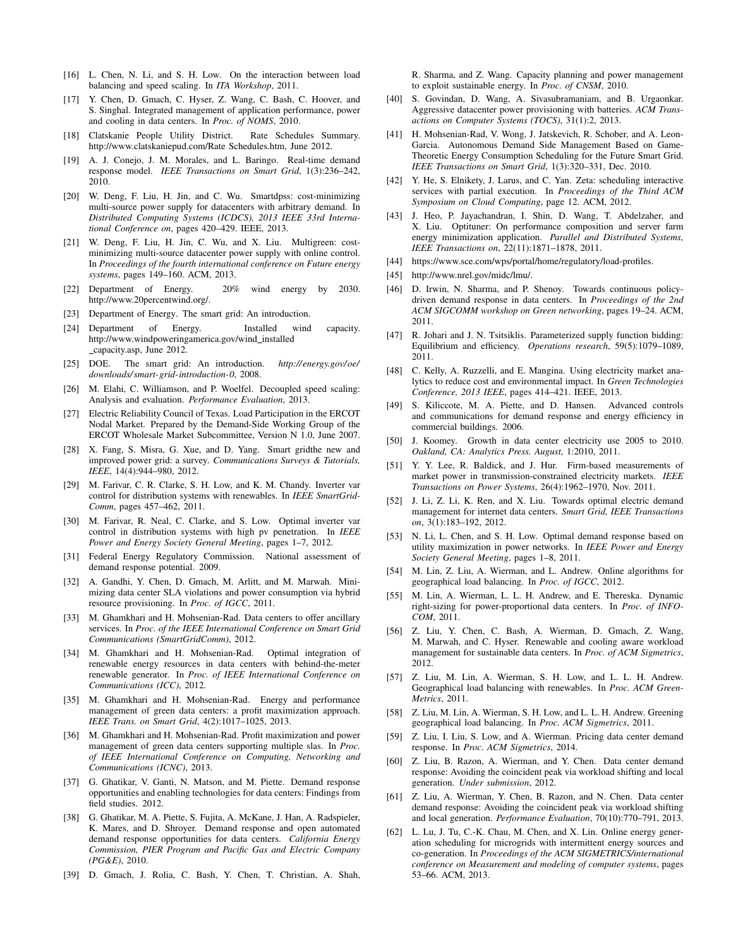- [16] L. Chen, N. Li, and S. H. Low. On the interaction between load balancing and speed scaling. In *ITA Workshop*, 2011.
- [17] Y. Chen, D. Gmach, C. Hyser, Z. Wang, C. Bash, C. Hoover, and S. Singhal. Integrated management of application performance, power and cooling in data centers. In *Proc. of NOMS*, 2010.
- [18] Clatskanie People Utility District. Rate Schedules Summary. http://www.clatskaniepud.com/Rate Schedules.htm, June 2012.
- [19] A. J. Conejo, J. M. Morales, and L. Baringo. Real-time demand response model. *IEEE Transactions on Smart Grid*, 1(3):236–242, 2010.
- [20] W. Deng, F. Liu, H. Jin, and C. Wu. Smartdpss: cost-minimizing multi-source power supply for datacenters with arbitrary demand. In *Distributed Computing Systems (ICDCS), 2013 IEEE 33rd International Conference on*, pages 420–429. IEEE, 2013.
- [21] W. Deng, F. Liu, H. Jin, C. Wu, and X. Liu. Multigreen: costminimizing multi-source datacenter power supply with online control. In *Proceedings of the fourth international conference on Future energy systems*, pages 149–160. ACM, 2013.
- [22] Department of Energy. 20% wind energy by 2030. http://www.20percentwind.org/.
- [23] Department of Energy. The smart grid: An introduction.
- [24] Department of Energy. Installed wind capacity. http://www.windpoweringamerica.gov/wind\_installed capacity.asp, June 2012.
- [25] DOE. The smart grid: An introduction. *http://energy.gov/ oe/ downloads/ smart-grid-introduction-0*, 2008.
- [26] M. Elahi, C. Williamson, and P. Woelfel. Decoupled speed scaling: Analysis and evaluation. *Performance Evaluation*, 2013.
- [27] Electric Reliability Council of Texas. Load Participation in the ERCOT Nodal Market. Prepared by the Demand-Side Working Group of the ERCOT Wholesale Market Subcommittee, Version N 1.0, June 2007.
- [28] X. Fang, S. Misra, G. Xue, and D. Yang. Smart gridthe new and improved power grid: a survey. *Communications Surveys & Tutorials, IEEE*, 14(4):944–980, 2012.
- [29] M. Farivar, C. R. Clarke, S. H. Low, and K. M. Chandy. Inverter var control for distribution systems with renewables. In *IEEE SmartGrid-Comm*, pages 457–462, 2011.
- [30] M. Farivar, R. Neal, C. Clarke, and S. Low. Optimal inverter var control in distribution systems with high pv penetration. In *IEEE Power and Energy Society General Meeting*, pages 1–7, 2012.
- [31] Federal Energy Regulatory Commission. National assessment of demand response potential. 2009.
- [32] A. Gandhi, Y. Chen, D. Gmach, M. Arlitt, and M. Marwah. Minimizing data center SLA violations and power consumption via hybrid resource provisioning. In *Proc. of IGCC*, 2011.
- [33] M. Ghamkhari and H. Mohsenian-Rad. Data centers to offer ancillary services. In *Proc. of the IEEE International Conference on Smart Grid Communications (SmartGridComm)*, 2012.
- [34] M. Ghamkhari and H. Mohsenian-Rad. Optimal integration of renewable energy resources in data centers with behind-the-meter renewable generator. In *Proc. of IEEE International Conference on Communications (ICC)*, 2012.
- [35] M. Ghamkhari and H. Mohsenian-Rad. Energy and performance management of green data centers: a profit maximization approach. *IEEE Trans. on Smart Grid*, 4(2):1017–1025, 2013.
- [36] M. Ghamkhari and H. Mohsenian-Rad. Profit maximization and power management of green data centers supporting multiple slas. In *Proc. of IEEE International Conference on Computing, Networking and Communications (ICNC)*, 2013.
- [37] G. Ghatikar, V. Ganti, N. Matson, and M. Piette. Demand response opportunities and enabling technologies for data centers: Findings from field studies. 2012.
- [38] G. Ghatikar, M. A. Piette, S. Fujita, A. McKane, J. Han, A. Radspieler, K. Mares, and D. Shroyer. Demand response and open automated demand response opportunities for data centers. *California Energy Commission, PIER Program and Pacific Gas and Electric Company (PG&E)*, 2010.
- [39] D. Gmach, J. Rolia, C. Bash, Y. Chen, T. Christian, A. Shah,

R. Sharma, and Z. Wang. Capacity planning and power management to exploit sustainable energy. In *Proc. of CNSM*, 2010.

- [40] S. Govindan, D. Wang, A. Sivasubramaniam, and B. Urgaonkar. Aggressive datacenter power provisioning with batteries. *ACM Transactions on Computer Systems (TOCS)*, 31(1):2, 2013.
- [41] H. Mohsenian-Rad, V. Wong, J. Jatskevich, R. Schober, and A. Leon-Garcia. Autonomous Demand Side Management Based on Game-Theoretic Energy Consumption Scheduling for the Future Smart Grid. *IEEE Transactions on Smart Grid*, 1(3):320–331, Dec. 2010.
- [42] Y. He, S. Elnikety, J. Larus, and C. Yan. Zeta: scheduling interactive services with partial execution. In *Proceedings of the Third ACM Symposium on Cloud Computing*, page 12. ACM, 2012.
- [43] J. Heo, P. Jayachandran, I. Shin, D. Wang, T. Abdelzaher, and X. Liu. Optituner: On performance composition and server farm energy minimization application. *Parallel and Distributed Systems, IEEE Transactions on*, 22(11):1871–1878, 2011.
- [44] https://www.sce.com/wps/portal/home/regulatory/load-profiles.
- [45] http://www.nrel.gov/midc/lmu/.
- [46] D. Irwin, N. Sharma, and P. Shenoy. Towards continuous policydriven demand response in data centers. In *Proceedings of the 2nd ACM SIGCOMM workshop on Green networking*, pages 19–24. ACM, 2011.
- [47] R. Johari and J. N. Tsitsiklis. Parameterized supply function bidding: Equilibrium and efficiency. *Operations research*, 59(5):1079–1089, 2011.
- [48] C. Kelly, A. Ruzzelli, and E. Mangina. Using electricity market analytics to reduce cost and environmental impact. In *Green Technologies Conference, 2013 IEEE*, pages 414–421. IEEE, 2013.
- [49] S. Kiliccote, M. A. Piette, and D. Hansen. Advanced controls and communications for demand response and energy efficiency in commercial buildings. 2006.
- [50] J. Koomey. Growth in data center electricity use 2005 to 2010. *Oakland, CA: Analytics Press. August*, 1:2010, 2011.
- [51] Y. Y. Lee, R. Baldick, and J. Hur. Firm-based measurements of market power in transmission-constrained electricity markets. *IEEE Transactions on Power Systems*, 26(4):1962–1970, Nov. 2011.
- [52] J. Li, Z. Li, K. Ren, and X. Liu. Towards optimal electric demand management for internet data centers. *Smart Grid, IEEE Transactions on*, 3(1):183–192, 2012.
- [53] N. Li, L. Chen, and S. H. Low. Optimal demand response based on utility maximization in power networks. In *IEEE Power and Energy Society General Meeting*, pages 1–8, 2011.
- [54] M. Lin, Z. Liu, A. Wierman, and L. Andrew. Online algorithms for geographical load balancing. In *Proc. of IGCC*, 2012.
- [55] M. Lin, A. Wierman, L. L. H. Andrew, and E. Thereska. Dynamic right-sizing for power-proportional data centers. In *Proc. of INFO-COM*, 2011.
- [56] Z. Liu, Y. Chen, C. Bash, A. Wierman, D. Gmach, Z. Wang, M. Marwah, and C. Hyser. Renewable and cooling aware workload management for sustainable data centers. In *Proc. of ACM Sigmetrics*, 2012.
- [57] Z. Liu, M. Lin, A. Wierman, S. H. Low, and L. L. H. Andrew. Geographical load balancing with renewables. In *Proc. ACM Green-Metrics*, 2011.
- [58] Z. Liu, M. Lin, A. Wierman, S. H. Low, and L. L. H. Andrew. Greening geographical load balancing. In *Proc. ACM Sigmetrics*, 2011.
- [59] Z. Liu, I. Liu, S. Low, and A. Wierman. Pricing data center demand response. In *Proc. ACM Sigmetrics*, 2014.
- [60] Z. Liu, B. Razon, A. Wierman, and Y. Chen. Data center demand response: Avoiding the coincident peak via workload shifting and local generation. *Under submission*, 2012.
- [61] Z. Liu, A. Wierman, Y. Chen, B. Razon, and N. Chen. Data center demand response: Avoiding the coincident peak via workload shifting and local generation. *Performance Evaluation*, 70(10):770–791, 2013.
- [62] L. Lu, J. Tu, C.-K. Chau, M. Chen, and X. Lin. Online energy generation scheduling for microgrids with intermittent energy sources and co-generation. In *Proceedings of the ACM SIGMETRICS/international conference on Measurement and modeling of computer systems*, pages 53–66. ACM, 2013.